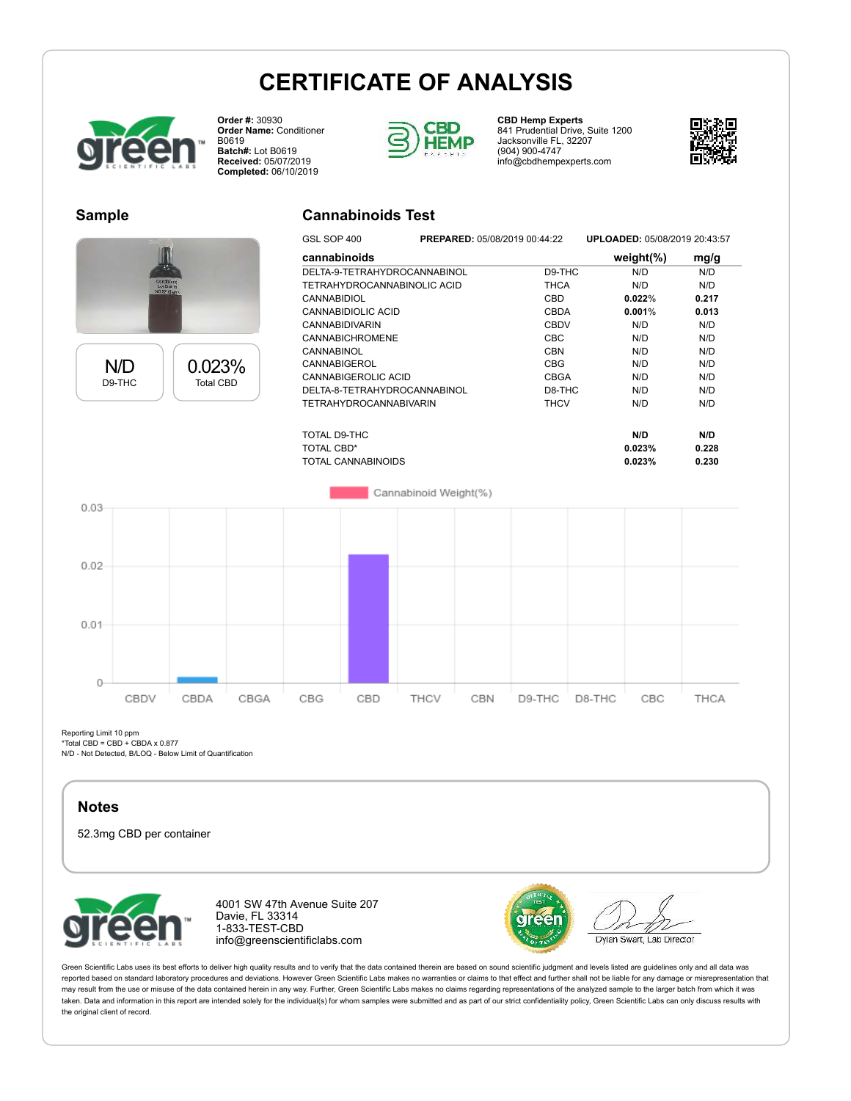# **CERTIFICATE OF ANALYSIS**



**Order #:** 30930 **Order Name:** Conditioner B0619 **Batch#:** Lot B0619 **Received:** 05/07/2019 **Completed:** 06/10/2019



**CBD Hemp Experts** 841 Prudential Drive, Suite 1200 Jacksonville FL, 32207 (904) 900-4747 info@cbdhempexperts.com



#### **Sample**



N/D D9-THC 0.023% Total CBD

### **Cannabinoids Test**

| טטד וטט בוטט                  |  |             | 91 LOADLD. 00/00/2010 20. <del>1</del> 0.07 |       |  |  |
|-------------------------------|--|-------------|---------------------------------------------|-------|--|--|
| cannabinoids                  |  |             | weight $(\%)$                               | mg/g  |  |  |
| DELTA-9-TETRAHYDROCANNABINOL  |  | D9-THC      | N/D                                         | N/D   |  |  |
| TETRAHYDROCANNABINOLIC ACID   |  | <b>THCA</b> | N/D                                         | N/D   |  |  |
| <b>CANNABIDIOL</b>            |  | CBD         | 0.022%                                      | 0.217 |  |  |
| CANNABIDIOLIC ACID            |  | CBDA        | $0.001\%$                                   | 0.013 |  |  |
| <b>CANNABIDIVARIN</b>         |  | CBDV        | N/D                                         | N/D   |  |  |
| <b>CANNABICHROMENE</b>        |  | CBC         | N/D                                         | N/D   |  |  |
| CANNABINOL                    |  | <b>CBN</b>  | N/D                                         | N/D   |  |  |
| CANNABIGEROL                  |  | <b>CBG</b>  | N/D                                         | N/D   |  |  |
| CANNABIGEROLIC ACID           |  | CBGA        | N/D                                         | N/D   |  |  |
| DELTA-8-TETRAHYDROCANNABINOL  |  | D8-THC      | N/D                                         | N/D   |  |  |
| <b>TETRAHYDROCANNABIVARIN</b> |  | <b>THCV</b> | N/D                                         | N/D   |  |  |
| TOTAL D9-THC                  |  |             | N/D                                         | N/D   |  |  |
| TOTAL CBD*                    |  |             | 0.023%                                      | 0.228 |  |  |
| TOTAL CANNABINOIDS            |  |             | 0.023%                                      | 0.230 |  |  |

GSL SOP 400 **PREPARED:** 05/08/2019 00:44:22 **UPLOADED:** 05/08/2019 20:43:57

Cannabinoid Weight(%)



Reporting Limit 10 ppm

\*Total CBD = CBD + CBDA x 0.877

N/D - Not Detected, B/LOQ - Below Limit of Quantification

#### **Notes**

52.3mg CBD per container



4001 SW 47th Avenue Suite 207 Davie, FL 33314 1-833-TEST-CBD info@greenscientificlabs.com



Dylan Swart, Lab Director

Green Scientific Labs uses its best efforts to deliver high quality results and to verify that the data contained therein are based on sound scientific judgment and levels listed are guidelines only and all data was reported based on standard laboratory procedures and deviations. However Green Scientific Labs makes no warranties or claims to that effect and further shall not be liable for any damage or misrepresentation that may result from the use or misuse of the data contained herein in any way. Further, Green Scientific Labs makes no claims regarding representations of the analyzed sample to the larger batch from which it was taken. Data and information in this report are intended solely for the individual(s) for whom samples were submitted and as part of our strict confidentiality policy, Green Scientific Labs can only discuss results with the original client of record.